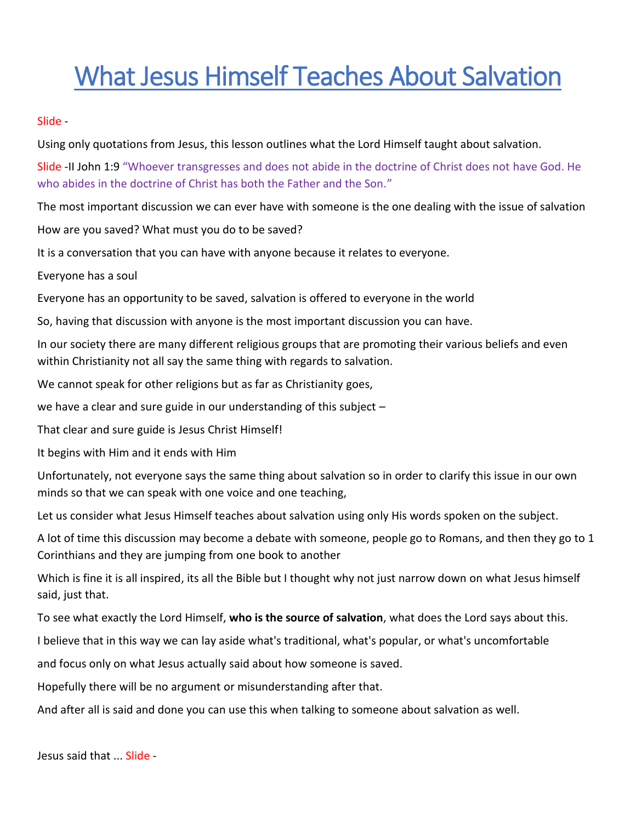# What Jesus Himself Teaches About Salvation

Slide -

Using only quotations from Jesus, this lesson outlines what the Lord Himself taught about salvation.

Slide -II John 1:9 "Whoever transgresses and does not abide in the doctrine of Christ does not have God. He who abides in the doctrine of Christ has both the Father and the Son."

The most important discussion we can ever have with someone is the one dealing with the issue of salvation

How are you saved? What must you do to be saved?

It is a conversation that you can have with anyone because it relates to everyone.

Everyone has a soul

Everyone has an opportunity to be saved, salvation is offered to everyone in the world

So, having that discussion with anyone is the most important discussion you can have.

In our society there are many different religious groups that are promoting their various beliefs and even within Christianity not all say the same thing with regards to salvation.

We cannot speak for other religions but as far as Christianity goes,

we have a clear and sure guide in our understanding of this subject –

That clear and sure guide is Jesus Christ Himself!

It begins with Him and it ends with Him

Unfortunately, not everyone says the same thing about salvation so in order to clarify this issue in our own minds so that we can speak with one voice and one teaching,

Let us consider what Jesus Himself teaches about salvation using only His words spoken on the subject.

A lot of time this discussion may become a debate with someone, people go to Romans, and then they go to 1 Corinthians and they are jumping from one book to another

Which is fine it is all inspired, its all the Bible but I thought why not just narrow down on what Jesus himself said, just that.

To see what exactly the Lord Himself, **who is the source of salvation**, what does the Lord says about this.

I believe that in this way we can lay aside what's traditional, what's popular, or what's uncomfortable

and focus only on what Jesus actually said about how someone is saved.

Hopefully there will be no argument or misunderstanding after that.

And after all is said and done you can use this when talking to someone about salvation as well.

Jesus said that ... Slide -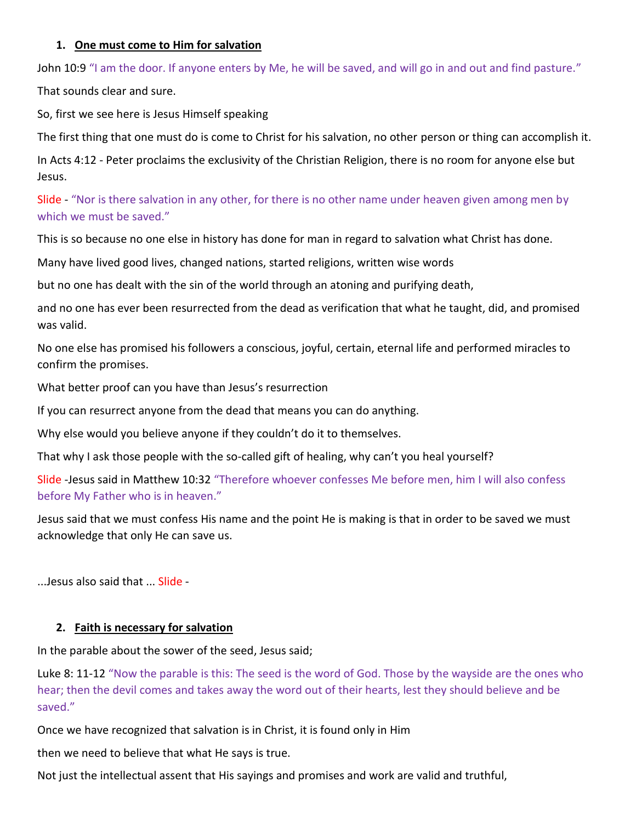## **1. One must come to Him for salvation**

John 10:9 "I am the door. If anyone enters by Me, he will be saved, and will go in and out and find pasture."

That sounds clear and sure.

So, first we see here is Jesus Himself speaking

The first thing that one must do is come to Christ for his salvation, no other person or thing can accomplish it.

In Acts 4:12 - Peter proclaims the exclusivity of the Christian Religion, there is no room for anyone else but Jesus.

Slide - "Nor is there salvation in any other, for there is no other name under heaven given among men by which we must be saved."

This is so because no one else in history has done for man in regard to salvation what Christ has done.

Many have lived good lives, changed nations, started religions, written wise words

but no one has dealt with the sin of the world through an atoning and purifying death,

and no one has ever been resurrected from the dead as verification that what he taught, did, and promised was valid.

No one else has promised his followers a conscious, joyful, certain, eternal life and performed miracles to confirm the promises.

What better proof can you have than Jesus's resurrection

If you can resurrect anyone from the dead that means you can do anything.

Why else would you believe anyone if they couldn't do it to themselves.

That why I ask those people with the so-called gift of healing, why can't you heal yourself?

Slide -Jesus said in Matthew 10:32 "Therefore whoever confesses Me before men, him I will also confess before My Father who is in heaven."

Jesus said that we must confess His name and the point He is making is that in order to be saved we must acknowledge that only He can save us.

...Jesus also said that ... Slide -

# **2. Faith is necessary for salvation**

In the parable about the sower of the seed, Jesus said;

Luke 8: 11-12 "Now the parable is this: The seed is the word of God. Those by the wayside are the ones who hear; then the devil comes and takes away the word out of their hearts, lest they should believe and be saved."

Once we have recognized that salvation is in Christ, it is found only in Him

then we need to believe that what He says is true.

Not just the intellectual assent that His sayings and promises and work are valid and truthful,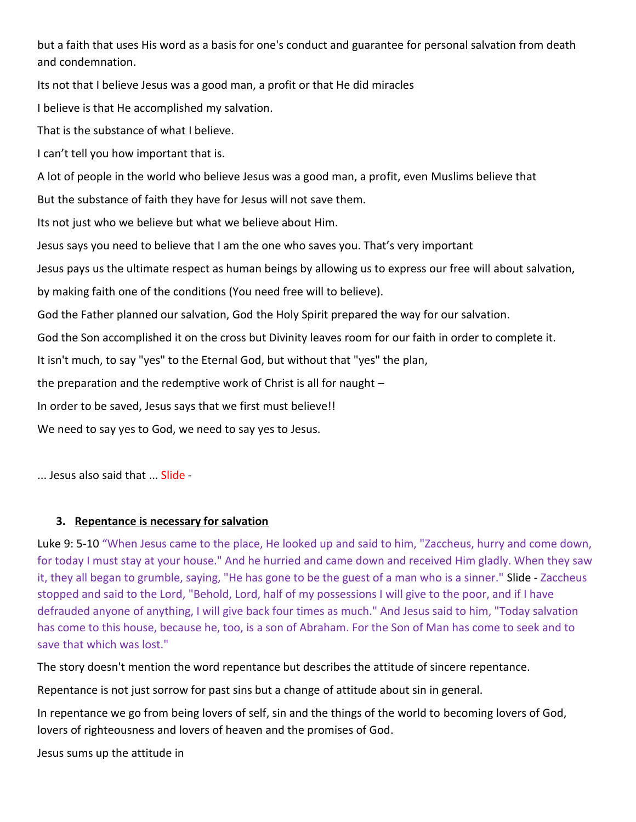but a faith that uses His word as a basis for one's conduct and guarantee for personal salvation from death and condemnation.

Its not that I believe Jesus was a good man, a profit or that He did miracles

I believe is that He accomplished my salvation.

That is the substance of what I believe.

I can't tell you how important that is.

A lot of people in the world who believe Jesus was a good man, a profit, even Muslims believe that

But the substance of faith they have for Jesus will not save them.

Its not just who we believe but what we believe about Him.

Jesus says you need to believe that I am the one who saves you. That's very important

Jesus pays us the ultimate respect as human beings by allowing us to express our free will about salvation,

by making faith one of the conditions (You need free will to believe).

God the Father planned our salvation, God the Holy Spirit prepared the way for our salvation.

God the Son accomplished it on the cross but Divinity leaves room for our faith in order to complete it.

It isn't much, to say "yes" to the Eternal God, but without that "yes" the plan,

the preparation and the redemptive work of Christ is all for naught –

In order to be saved, Jesus says that we first must believe!!

We need to say yes to God, we need to say yes to Jesus.

... Jesus also said that ... Slide -

# **3. Repentance is necessary for salvation**

Luke 9: 5-10 "When Jesus came to the place, He looked up and said to him, "Zaccheus, hurry and come down, for today I must stay at your house." And he hurried and came down and received Him gladly. When they saw it, they all began to grumble, saying, "He has gone to be the guest of a man who is a sinner." Slide - Zaccheus stopped and said to the Lord, "Behold, Lord, half of my possessions I will give to the poor, and if I have defrauded anyone of anything, I will give back four times as much." And Jesus said to him, "Today salvation has come to this house, because he, too, is a son of Abraham. For the Son of Man has come to seek and to save that which was lost."

The story doesn't mention the word repentance but describes the attitude of sincere repentance.

Repentance is not just sorrow for past sins but a change of attitude about sin in general.

In repentance we go from being lovers of self, sin and the things of the world to becoming lovers of God, lovers of righteousness and lovers of heaven and the promises of God.

Jesus sums up the attitude in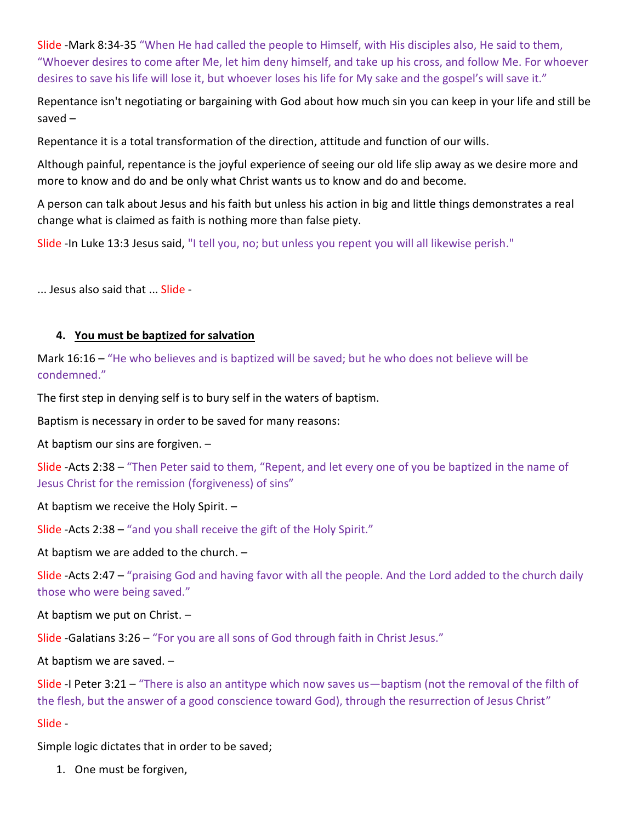Slide -Mark 8:34-35 "When He had called the people to Himself, with His disciples also, He said to them, "Whoever desires to come after Me, let him deny himself, and take up his cross, and follow Me. For whoever desires to save his life will lose it, but whoever loses his life for My sake and the gospel's will save it."

Repentance isn't negotiating or bargaining with God about how much sin you can keep in your life and still be saved –

Repentance it is a total transformation of the direction, attitude and function of our wills.

Although painful, repentance is the joyful experience of seeing our old life slip away as we desire more and more to know and do and be only what Christ wants us to know and do and become.

A person can talk about Jesus and his faith but unless his action in big and little things demonstrates a real change what is claimed as faith is nothing more than false piety.

Slide -In Luke 13:3 Jesus said, "I tell you, no; but unless you repent you will all likewise perish."

... Jesus also said that ... Slide -

#### **4. You must be baptized for salvation**

Mark 16:16 – "He who believes and is baptized will be saved; but he who does not believe will be condemned."

The first step in denying self is to bury self in the waters of baptism.

Baptism is necessary in order to be saved for many reasons:

At baptism our sins are forgiven. –

Slide -Acts 2:38 – "Then Peter said to them, "Repent, and let every one of you be baptized in the name of Jesus Christ for the remission (forgiveness) of sins"

At baptism we receive the Holy Spirit. –

Slide -Acts 2:38 – "and you shall receive the gift of the Holy Spirit."

At baptism we are added to the church. –

Slide -Acts 2:47 – "praising God and having favor with all the people. And the Lord added to the church daily those who were being saved."

At baptism we put on Christ. –

Slide -Galatians 3:26 – "For you are all sons of God through faith in Christ Jesus."

At baptism we are saved. –

Slide -I Peter 3:21 – "There is also an antitype which now saves us—baptism (not the removal of the filth of the flesh, but the answer of a good conscience toward God), through the resurrection of Jesus Christ"

#### Slide -

Simple logic dictates that in order to be saved;

1. One must be forgiven,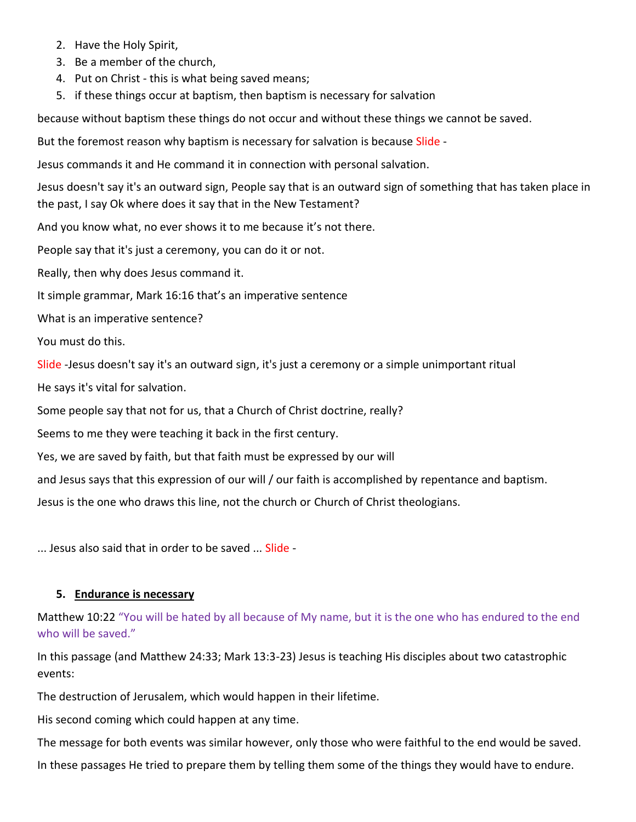- 2. Have the Holy Spirit,
- 3. Be a member of the church,
- 4. Put on Christ this is what being saved means;
- 5. if these things occur at baptism, then baptism is necessary for salvation

because without baptism these things do not occur and without these things we cannot be saved.

But the foremost reason why baptism is necessary for salvation is because Slide -

Jesus commands it and He command it in connection with personal salvation.

Jesus doesn't say it's an outward sign, People say that is an outward sign of something that has taken place in the past, I say Ok where does it say that in the New Testament?

And you know what, no ever shows it to me because it's not there.

People say that it's just a ceremony, you can do it or not.

Really, then why does Jesus command it.

It simple grammar, Mark 16:16 that's an imperative sentence

What is an imperative sentence?

You must do this.

Slide -Jesus doesn't say it's an outward sign, it's just a ceremony or a simple unimportant ritual

He says it's vital for salvation.

Some people say that not for us, that a Church of Christ doctrine, really?

Seems to me they were teaching it back in the first century.

Yes, we are saved by faith, but that faith must be expressed by our will

and Jesus says that this expression of our will / our faith is accomplished by repentance and baptism.

Jesus is the one who draws this line, not the church or Church of Christ theologians.

... Jesus also said that in order to be saved ... Slide -

#### **5. Endurance is necessary**

Matthew 10:22 "You will be hated by all because of My name, but it is the one who has endured to the end who will be saved."

In this passage (and Matthew 24:33; Mark 13:3-23) Jesus is teaching His disciples about two catastrophic events:

The destruction of Jerusalem, which would happen in their lifetime.

His second coming which could happen at any time.

The message for both events was similar however, only those who were faithful to the end would be saved.

In these passages He tried to prepare them by telling them some of the things they would have to endure.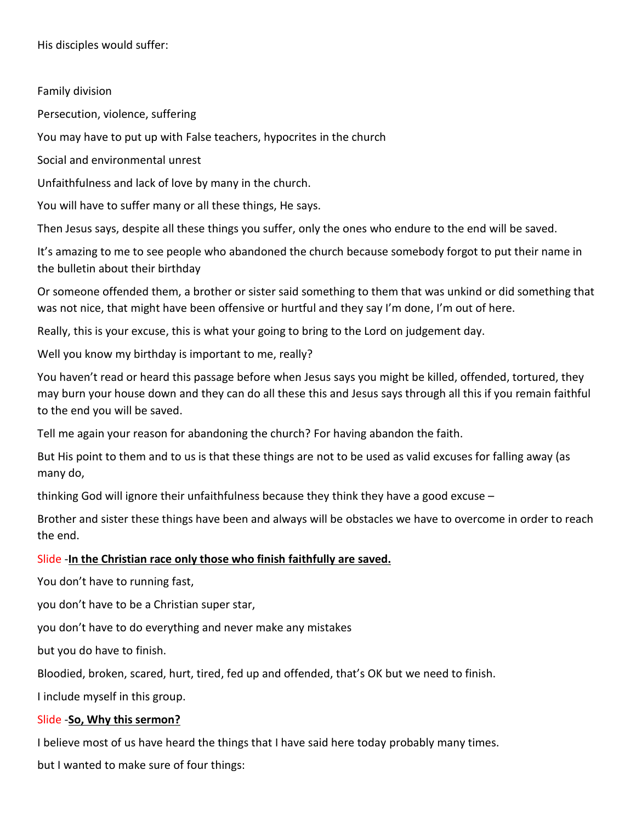His disciples would suffer:

## Family division

Persecution, violence, suffering

You may have to put up with False teachers, hypocrites in the church

Social and environmental unrest

Unfaithfulness and lack of love by many in the church.

You will have to suffer many or all these things, He says.

Then Jesus says, despite all these things you suffer, only the ones who endure to the end will be saved.

It's amazing to me to see people who abandoned the church because somebody forgot to put their name in the bulletin about their birthday

Or someone offended them, a brother or sister said something to them that was unkind or did something that was not nice, that might have been offensive or hurtful and they say I'm done, I'm out of here.

Really, this is your excuse, this is what your going to bring to the Lord on judgement day.

Well you know my birthday is important to me, really?

You haven't read or heard this passage before when Jesus says you might be killed, offended, tortured, they may burn your house down and they can do all these this and Jesus says through all this if you remain faithful to the end you will be saved.

Tell me again your reason for abandoning the church? For having abandon the faith.

But His point to them and to us is that these things are not to be used as valid excuses for falling away (as many do,

thinking God will ignore their unfaithfulness because they think they have a good excuse –

Brother and sister these things have been and always will be obstacles we have to overcome in order to reach the end.

#### Slide -**In the Christian race only those who finish faithfully are saved.**

You don't have to running fast,

you don't have to be a Christian super star,

you don't have to do everything and never make any mistakes

but you do have to finish.

Bloodied, broken, scared, hurt, tired, fed up and offended, that's OK but we need to finish.

I include myself in this group.

#### Slide -**So, Why this sermon?**

I believe most of us have heard the things that I have said here today probably many times.

but I wanted to make sure of four things: